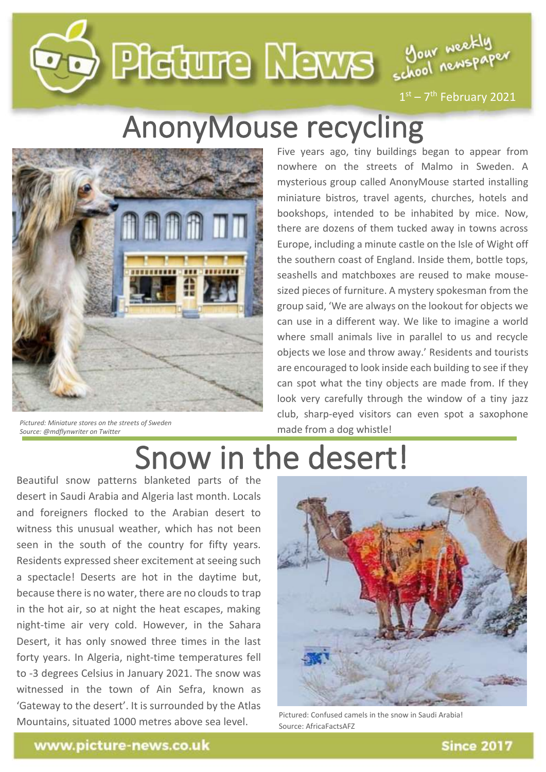# Deleture Merre Sour neckly



 $1<sup>st</sup> - 7<sup>th</sup>$  February 2021

## **AnonyMouse recycling**



*Pictured: Miniature stores on the streets of Sweden Source: @mdflynwriter on Twitter*

mysterious group called Anormalization and the streets Five years ago, tiny buildings began to appear from nowhere on the streets of Malmo in Sweden. A mysterious group called AnonyMouse started installing miniature bistros, travel agents, churches, hotels and bookshops, intended to be inhabited by mice. Now, there are dozens of them tucked away in towns across Europe, including a minute castle on the Isle of Wight off the southern coast of England. Inside them, bottle tops, seashells and matchboxes are reused to make mousesized pieces of furniture. A mystery spokesman from the group said, 'We are always on the lookout for objects we can use in a different way. We like to imagine a world where small animals live in parallel to us and recycle objects we lose and throw away.' Residents and tourists are encouraged to look inside each building to see if they can spot what the tiny objects are made from. If they look very carefully through the window of a tiny jazz club, sharp-eyed visitors can even spot a saxophone made from a dog whistle!

# Snow in the desert!

Beautiful snow patterns blanketed parts of the desert in Saudi Arabia and Algeria last month. Locals and foreigners flocked to the Arabian desert to witness this unusual weather, which has not been seen in the south of the country for fifty years. Residents expressed sheer excitement at seeing such a spectacle! Deserts are hot in the daytime but, because there is no water, there are no clouds to trap in the hot air, so at night the heat escapes, making night-time air very cold. However, in the Sahara Desert, it has only snowed three times in the last forty years. In Algeria, night-time temperatures fell to -3 degrees Celsius in January 2021. The snow was witnessed in the town of Ain Sefra, known as 'Gateway to the desert'. It is surrounded by the Atlas Mountains, situated 1000 metres above sea level.



Pictured: Confused camels in the snow in Saudi Arabia! Source: AfricaFactsAFZ